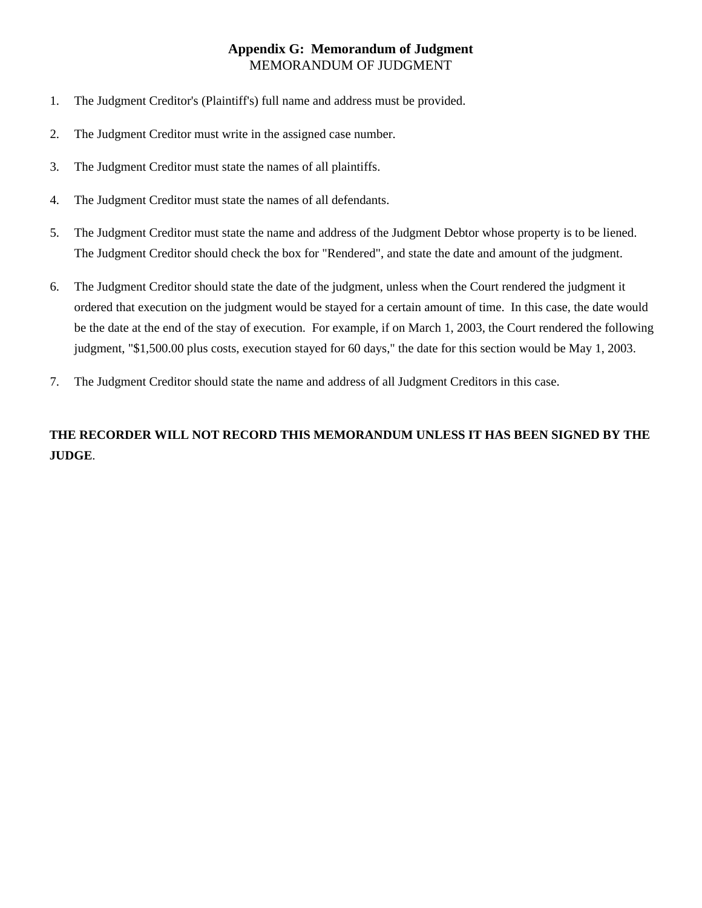## MEMORANDUM OF JUDGMENT **Appendix G: Memorandum of Judgment**

- 1. The Judgment Creditor's (Plaintiff's) full name and address must be provided.
- 2. The Judgment Creditor must write in the assigned case number.
- 3. The Judgment Creditor must state the names of all plaintiffs.
- 4. The Judgment Creditor must state the names of all defendants.
- 5. The Judgment Creditor must state the name and address of the Judgment Debtor whose property is to be liened. The Judgment Creditor should check the box for "Rendered", and state the date and amount of the judgment.
- 6. The Judgment Creditor should state the date of the judgment, unless when the Court rendered the judgment it ordered that execution on the judgment would be stayed for a certain amount of time. In this case, the date would be the date at the end of the stay of execution. For example, if on March 1, 2003, the Court rendered the following judgment, "\$1,500.00 plus costs, execution stayed for 60 days," the date for this section would be May 1, 2003.
- 7. The Judgment Creditor should state the name and address of all Judgment Creditors in this case.

## **THE RECORDER WILL NOT RECORD THIS MEMORANDUM UNLESS IT HAS BEEN SIGNED BY THE JUDGE**.